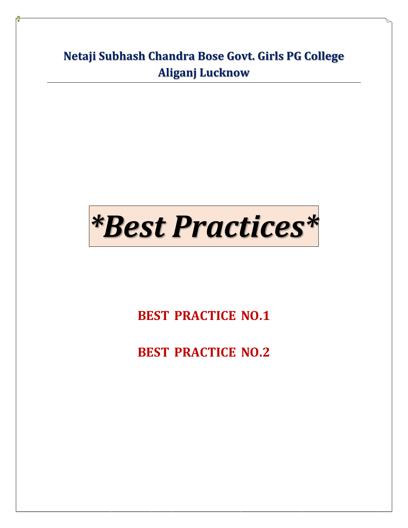**Netaji Subhash Chandra Bose Govt. Girls PG College Aliganj Lucknow**

## *\*Best Practices\**

**[BEST\\_PRACTICE\\_NO.1](#page-1-0)** 

**[BEST\\_PRACTICE\\_NO.2](#page-2-0)**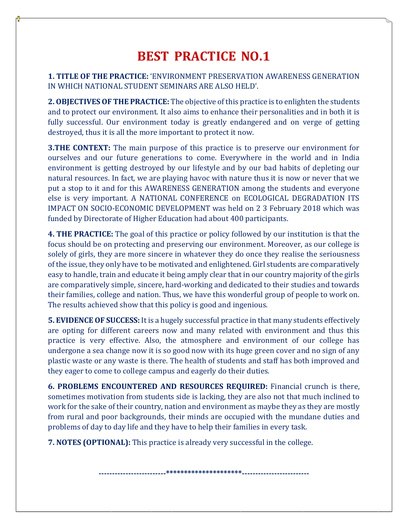## **BEST\_PRACTICE\_NO.1**

<span id="page-1-0"></span>**1. TITLE OF THE PRACTICE:** 'ENVIRONMENT PRESERVATION AWARENESS GENERATION IN WHICH NATIONAL STUDENT SEMINARS ARE ALSO HELD'.

**2. OBJECTIVES OF THE PRACTICE:** The objective of this practice is to enlighten the students and to protect our environment. It also aims to enhance their personalities and in both it is fully successful. Our environment today is greatly endangered and on verge of getting destroyed, thus it is all the more important to protect it now.

**3.THE CONTEXT:** The main purpose of this practice is to preserve our environment for ourselves and our future generations to come. Everywhere in the world and in India environment is getting destroyed by our lifestyle and by our bad habits of depleting our natural resources. In fact, we are playing havoc with nature thus it is now or never that we put a stop to it and for this AWARENESS GENERATION among the students and everyone else is very important. A NATIONAL CONFERENCE on ECOLOGICAL DEGRADATION ITS IMPACT ON SOCIO-ECONOMIC DEVELOPMENT was held on 2 3 February 2018 which was funded by Directorate of Higher Education had about 400 participants.

**4. THE PRACTICE:** The goal of this practice or policy followed by our institution is that the focus should be on protecting and preserving our environment. Moreover, as our college is solely of girls, they are more sincere in whatever they do once they realise the seriousness of the issue, they only have to be motivated and enlightened. Girl students are comparatively easy to handle, train and educate it being amply clear that in our country majority of the girls are comparatively simple, sincere, hard-working and dedicated to their studies and towards their families, college and nation. Thus, we have this wonderful group of people to work on. The results achieved show that this policy is good and ingenious.

**5. EVIDENCE OF SUCCESS:** It is a hugely successful practice in that many students effectively are opting for different careers now and many related with environment and thus this practice is very effective. Also, the atmosphere and environment of our college has undergone a sea change now it is so good now with its huge green cover and no sign of any plastic waste or any waste is there. The health of students and staff has both improved and they eager to come to college campus and eagerly do their duties.

**6. PROBLEMS ENCOUNTERED AND RESOURCES REQUIRED:** Financial crunch is there, sometimes motivation from students side is lacking, they are also not that much inclined to work for the sake of their country, nation and environment as maybe they as they are mostly from rural and poor backgrounds, their minds are occupied with the mundane duties and problems of day to day life and they have to help their families in every task.

**7. NOTES (OPTIONAL):** This practice is already very successful in the college.

\_\*\*\*\*\*\*\*\*\*\*\*\*\*\*\*\*\*\*\*\*\*\*\*\*\*<sub>-----</sub>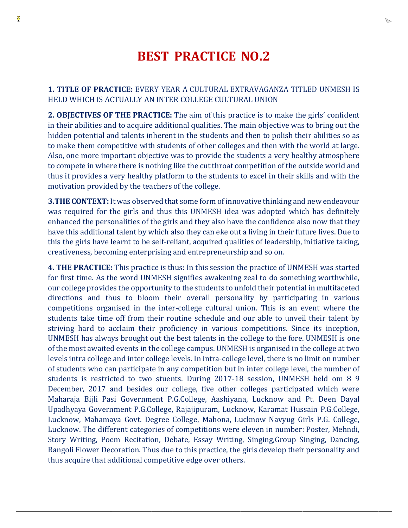## **BEST\_PRACTICE\_NO.2**

<span id="page-2-0"></span>**1. TITLE OF PRACTICE:** EVERY YEAR A CULTURAL EXTRAVAGANZA TITLED UNMESH IS HELD WHICH IS ACTUALLY AN INTER COLLEGE CULTURAL UNION

**2. OBJECTIVES OF THE PRACTICE:** The aim of this practice is to make the girls' confident in their abilities and to acquire additional qualities. The main objective was to bring out the hidden potential and talents inherent in the students and then to polish their abilities so as to make them competitive with students of other colleges and then with the world at large. Also, one more important objective was to provide the students a very healthy atmosphere to compete in where there is nothing like the cut throat competition of the outside world and thus it provides a very healthy platform to the students to excel in their skills and with the motivation provided by the teachers of the college.

**3.THE CONTEXT:** It was observed that some form of innovative thinking and new endeavour was required for the girls and thus this UNMESH idea was adopted which has definitely enhanced the personalities of the girls and they also have the confidence also now that they have this additional talent by which also they can eke out a living in their future lives. Due to this the girls have learnt to be self-reliant, acquired qualities of leadership, initiative taking, creativeness, becoming enterprising and entrepreneurship and so on.

**4. THE PRACTICE:** This practice is thus: In this session the practice of UNMESH was started for first time. As the word UNMESH signifies awakening zeal to do something worthwhile, our college provides the opportunity to the students to unfold their potential in multifaceted directions and thus to bloom their overall personality by participating in various competitions organised in the inter-college cultural union. This is an event where the students take time off from their routine schedule and our able to unveil their talent by striving hard to acclaim their proficiency in various competitions. Since its inception, UNMESH has always brought out the best talents in the college to the fore. UNMESH is one of the most awaited events in the college campus. UNMESH is organised in the college at two levels intra college and inter college levels. In intra-college level, there is no limit on number of students who can participate in any competition but in inter college level, the number of students is restricted to two stuents. During 2017-18 session, UNMESH held om 8 9 December, 2017 and besides our college, five other colleges participated which were Maharaja Bijli Pasi Government P.G.College, Aashiyana, Lucknow and Pt. Deen Dayal Upadhyaya Government P.G.College, Rajajipuram, Lucknow, Karamat Hussain P.G.College, Lucknow, Mahamaya Govt. Degree College, Mahona, Lucknow Navyug Girls P.G. College, Lucknow. The different categories of competitions were eleven in number: Poster, Mehndi, Story Writing, Poem Recitation, Debate, Essay Writing, Singing,Group Singing, Dancing, Rangoli Flower Decoration. Thus due to this practice, the girls develop their personality and thus acquire that additional competitive edge over others.